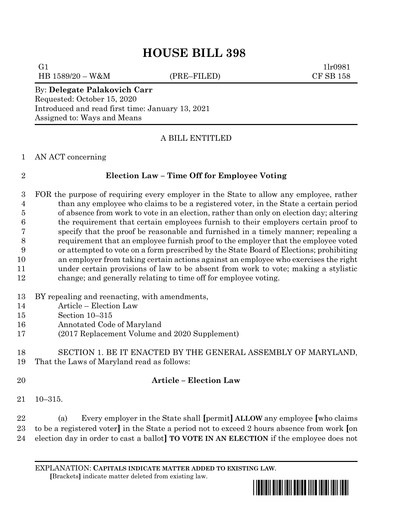# **HOUSE BILL 398**

HB 1589/20 – W&M (PRE–FILED) CF SB 158

G1  $1\text{l}r0981$ 

### By: **Delegate Palakovich Carr** Requested: October 15, 2020 Introduced and read first time: January 13, 2021 Assigned to: Ways and Means

# A BILL ENTITLED

### AN ACT concerning

# **Election Law – Time Off for Employee Voting**

 FOR the purpose of requiring every employer in the State to allow any employee, rather than any employee who claims to be a registered voter, in the State a certain period of absence from work to vote in an election, rather than only on election day; altering the requirement that certain employees furnish to their employers certain proof to specify that the proof be reasonable and furnished in a timely manner; repealing a requirement that an employee furnish proof to the employer that the employee voted or attempted to vote on a form prescribed by the State Board of Elections; prohibiting an employer from taking certain actions against an employee who exercises the right under certain provisions of law to be absent from work to vote; making a stylistic change; and generally relating to time off for employee voting.

- BY repealing and reenacting, with amendments,
- Article Election Law
- Section 10–315
- Annotated Code of Maryland
- (2017 Replacement Volume and 2020 Supplement)

# SECTION 1. BE IT ENACTED BY THE GENERAL ASSEMBLY OF MARYLAND, That the Laws of Maryland read as follows:

# **Article – Election Law**

10–315.

 (a) Every employer in the State shall **[**permit**] ALLOW** any employee **[**who claims to be a registered voter**]** in the State a period not to exceed 2 hours absence from work **[**on election day in order to cast a ballot**] TO VOTE IN AN ELECTION** if the employee does not

EXPLANATION: **CAPITALS INDICATE MATTER ADDED TO EXISTING LAW**.  **[**Brackets**]** indicate matter deleted from existing law.